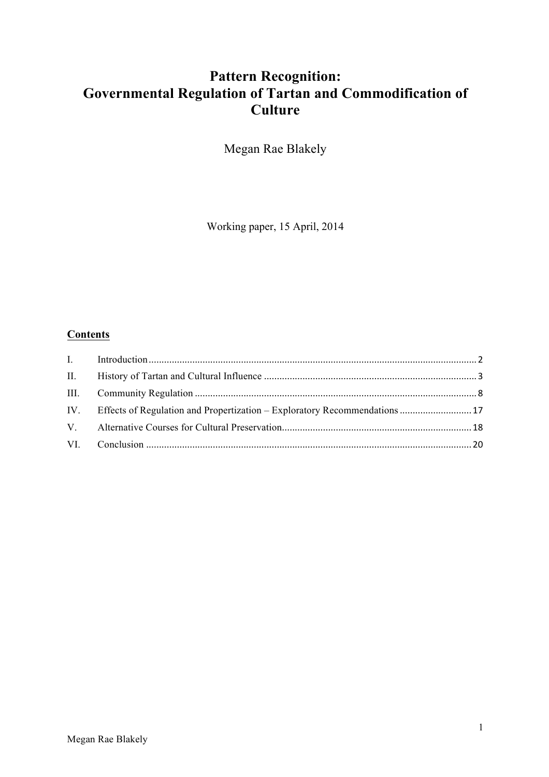# **Pattern Recognition: Governmental Regulation of Tartan and Commodification of Culture**

Megan Rae Blakely

Working paper, 15 April, 2014

## **Contents**

| IV. Effects of Regulation and Propertization – Exploratory Recommendations  17 |  |
|--------------------------------------------------------------------------------|--|
|                                                                                |  |
|                                                                                |  |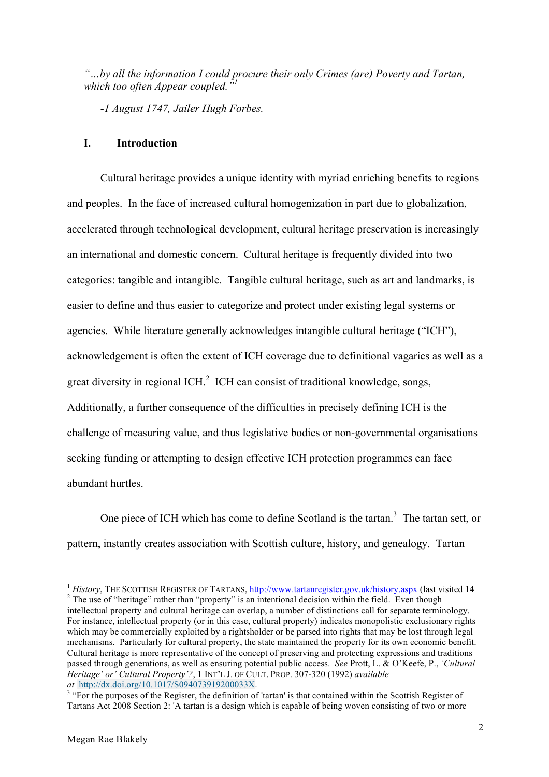*"…by all the information I could procure their only Crimes (are) Poverty and Tartan, which too often Appear coupled."1*

*-1 August 1747, Jailer Hugh Forbes.*

#### **I. Introduction**

Cultural heritage provides a unique identity with myriad enriching benefits to regions and peoples. In the face of increased cultural homogenization in part due to globalization, accelerated through technological development, cultural heritage preservation is increasingly an international and domestic concern. Cultural heritage is frequently divided into two categories: tangible and intangible. Tangible cultural heritage, such as art and landmarks, is easier to define and thus easier to categorize and protect under existing legal systems or agencies. While literature generally acknowledges intangible cultural heritage ("ICH"), acknowledgement is often the extent of ICH coverage due to definitional vagaries as well as a great diversity in regional ICH. $2$  ICH can consist of traditional knowledge, songs, Additionally, a further consequence of the difficulties in precisely defining ICH is the challenge of measuring value, and thus legislative bodies or non-governmental organisations seeking funding or attempting to design effective ICH protection programmes can face abundant hurtles.

One piece of ICH which has come to define Scotland is the tartan.<sup>3</sup> The tartan sett, or pattern, instantly creates association with Scottish culture, history, and genealogy. Tartan

<u> 1989 - Jan Samuel Barbara, margaret e</u>

<sup>&</sup>lt;sup>1</sup> *History*, THE SCOTTISH REGISTER OF TARTANS,  $\frac{http://www.tartanregister.gov.uk/history.argv}{http://www.tartanregister.gov.uk/history.argv}$  (last visited 14 <sup>2</sup> The use of "heritage" rather than "property" is an intentional decision within the field. Even though intellectual property and cultural heritage can overlap, a number of distinctions call for separate terminology. For instance, intellectual property (or in this case, cultural property) indicates monopolistic exclusionary rights which may be commercially exploited by a rightsholder or be parsed into rights that may be lost through legal mechanisms. Particularly for cultural property, the state maintained the property for its own economic benefit. Cultural heritage is more representative of the concept of preserving and protecting expressions and traditions passed through generations, as well as ensuring potential public access. *See* Prott, L. & O'Keefe, P., *'Cultural Heritage' or' Cultural Property'?*, 1 INT'L J. OF CULT. PROP. 307-320 (1992) *available* 

<sup>&</sup>lt;sup>3</sup> "For the purposes of the Register, the definition of 'tartan' is that contained within the Scottish Register of Tartans Act 2008 Section 2: 'A tartan is a design which is capable of being woven consisting of two or more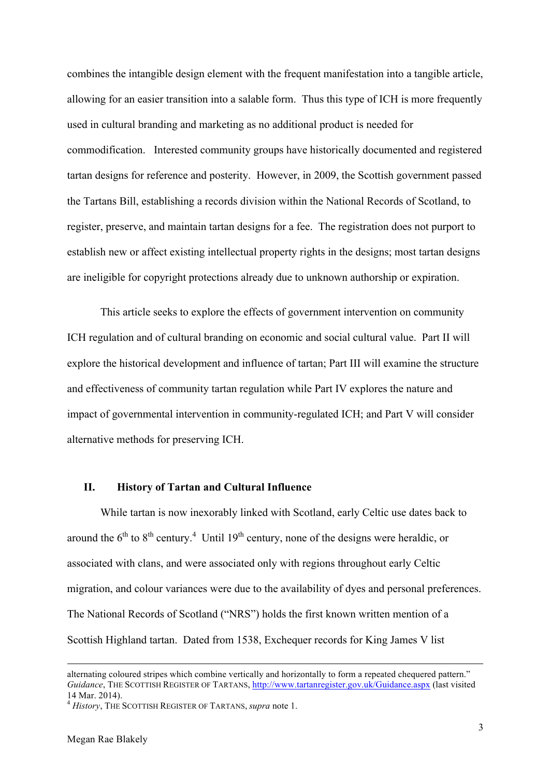combines the intangible design element with the frequent manifestation into a tangible article, allowing for an easier transition into a salable form. Thus this type of ICH is more frequently used in cultural branding and marketing as no additional product is needed for commodification. Interested community groups have historically documented and registered tartan designs for reference and posterity. However, in 2009, the Scottish government passed the Tartans Bill, establishing a records division within the National Records of Scotland, to register, preserve, and maintain tartan designs for a fee. The registration does not purport to establish new or affect existing intellectual property rights in the designs; most tartan designs are ineligible for copyright protections already due to unknown authorship or expiration.

This article seeks to explore the effects of government intervention on community ICH regulation and of cultural branding on economic and social cultural value. Part II will explore the historical development and influence of tartan; Part III will examine the structure and effectiveness of community tartan regulation while Part IV explores the nature and impact of governmental intervention in community-regulated ICH; and Part V will consider alternative methods for preserving ICH.

#### **II. History of Tartan and Cultural Influence**

While tartan is now inexorably linked with Scotland, early Celtic use dates back to around the  $6<sup>th</sup>$  to  $8<sup>th</sup>$  century.<sup>4</sup> Until 19<sup>th</sup> century, none of the designs were heraldic, or associated with clans, and were associated only with regions throughout early Celtic migration, and colour variances were due to the availability of dyes and personal preferences. The National Records of Scotland ("NRS") holds the first known written mention of a Scottish Highland tartan. Dated from 1538, Exchequer records for King James V list

alternating coloured stripes which combine vertically and horizontally to form a repeated chequered pattern." *Guidance*, THE SCOTTISH REGISTER OF TARTANS, http://www.tartanregister.gov.uk/Guidance.aspx (last visited 14 Mar. 2014).

<sup>4</sup> *History*, THE SCOTTISH REGISTER OF TARTANS, *supra* note 1.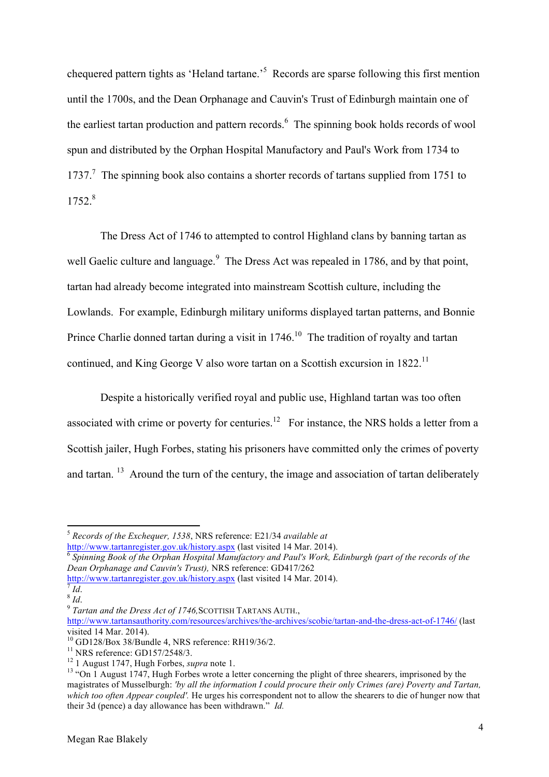chequered pattern tights as 'Heland tartane.<sup>55</sup> Records are sparse following this first mention until the 1700s, and the Dean Orphanage and Cauvin's Trust of Edinburgh maintain one of the earliest tartan production and pattern records.<sup>6</sup> The spinning book holds records of wool spun and distributed by the Orphan Hospital Manufactory and Paul's Work from 1734 to 1737.<sup>7</sup> The spinning book also contains a shorter records of tartans supplied from 1751 to 1752.8

The Dress Act of 1746 to attempted to control Highland clans by banning tartan as well Gaelic culture and language.<sup>9</sup> The Dress Act was repealed in 1786, and by that point, tartan had already become integrated into mainstream Scottish culture, including the Lowlands. For example, Edinburgh military uniforms displayed tartan patterns, and Bonnie Prince Charlie donned tartan during a visit in  $1746$ <sup>10</sup>. The tradition of royalty and tartan continued, and King George V also wore tartan on a Scottish excursion in 1822.<sup>11</sup>

Despite a historically verified royal and public use, Highland tartan was too often associated with crime or poverty for centuries.<sup>12</sup> For instance, the NRS holds a letter from a Scottish jailer, Hugh Forbes, stating his prisoners have committed only the crimes of poverty and tartan. <sup>13</sup> Around the turn of the century, the image and association of tartan deliberately

http://www.tartanregister.gov.uk/history.aspx (last visited 14 Mar. 2014). <sup>6</sup> *Spinning Book of the Orphan Hospital Manufactory and Paul's Work, Edinburgh (part of the records of the Dean Orphanage and Cauvin's Trust),* NRS reference: GD417/262

http://www.tartanregister.gov.uk/history.aspx (last visited 14 Mar. 2014). <sup>7</sup> *Id*. <sup>8</sup> *Id*. <sup>9</sup> *Tartan and the Dress Act of 1746,*SCOTTISH TARTANS AUTH.,

<u> 1989 - Jan Samuel Barbara, margaret e</u>

<sup>5</sup> *Records of the Exchequer, 1538*, NRS reference: E21/34 *available at* 

http://www.tartansauthority.com/resources/archives/the-archives/scobie/tartan-and-the-dress-act-of-1746/ (last visited 14 Mar. 2014).<br><sup>10</sup> GD128/Box 38/Bundle 4, NRS reference: RH19/36/2.

<sup>&</sup>lt;sup>11</sup> NRS reference: GD157/2548/3.<br><sup>12</sup> 1 August 1747, Hugh Forbes, *supra* note 1.<br><sup>13</sup> "On 1 August 1747, Hugh Forbes wrote a letter concerning the plight of three shearers, imprisoned by the magistrates of Musselburgh: *'by all the information I could procure their only Crimes (are) Poverty and Tartan, which too often Appear coupled'.* He urges his correspondent not to allow the shearers to die of hunger now that their 3d (pence) a day allowance has been withdrawn." *Id.*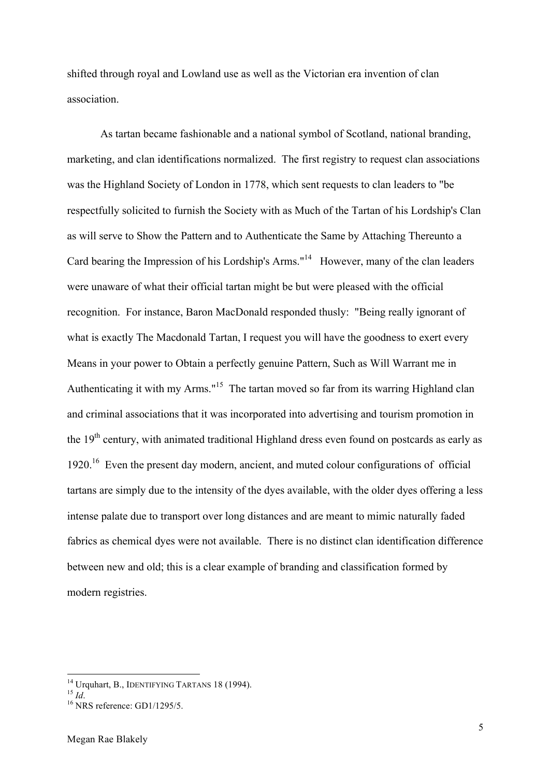shifted through royal and Lowland use as well as the Victorian era invention of clan association.

As tartan became fashionable and a national symbol of Scotland, national branding, marketing, and clan identifications normalized. The first registry to request clan associations was the Highland Society of London in 1778, which sent requests to clan leaders to "be respectfully solicited to furnish the Society with as Much of the Tartan of his Lordship's Clan as will serve to Show the Pattern and to Authenticate the Same by Attaching Thereunto a Card bearing the Impression of his Lordship's Arms."<sup>14</sup> However, many of the clan leaders were unaware of what their official tartan might be but were pleased with the official recognition. For instance, Baron MacDonald responded thusly: "Being really ignorant of what is exactly The Macdonald Tartan, I request you will have the goodness to exert every Means in your power to Obtain a perfectly genuine Pattern, Such as Will Warrant me in Authenticating it with my Arms."<sup>15</sup> The tartan moved so far from its warring Highland clan and criminal associations that it was incorporated into advertising and tourism promotion in the 19<sup>th</sup> century, with animated traditional Highland dress even found on postcards as early as 1920.<sup>16</sup> Even the present day modern, ancient, and muted colour configurations of official tartans are simply due to the intensity of the dyes available, with the older dyes offering a less intense palate due to transport over long distances and are meant to mimic naturally faded fabrics as chemical dyes were not available. There is no distinct clan identification difference between new and old; this is a clear example of branding and classification formed by modern registries.

<sup>&</sup>lt;sup>14</sup> Urquhart, B., IDENTIFYING TARTANS 18 (1994).<br><sup>15</sup> *Id.* 16 NRS reference: GD1/1295/5.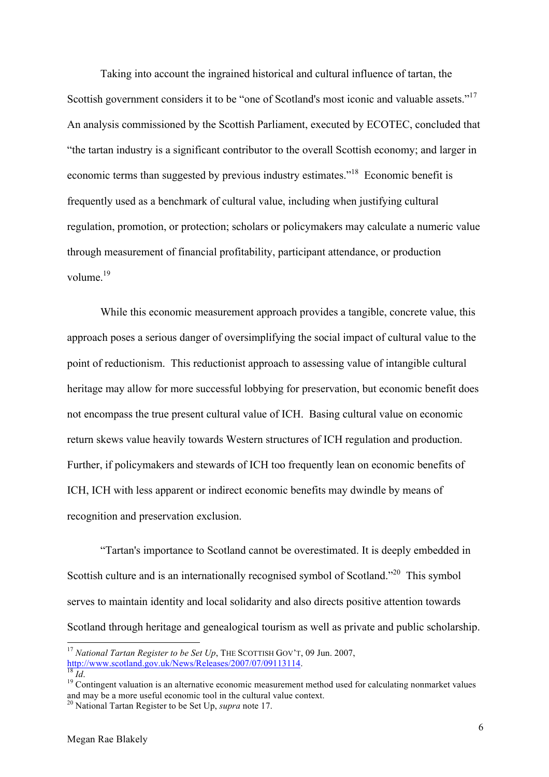Taking into account the ingrained historical and cultural influence of tartan, the Scottish government considers it to be "one of Scotland's most iconic and valuable assets."<sup>17</sup> An analysis commissioned by the Scottish Parliament, executed by ECOTEC, concluded that "the tartan industry is a significant contributor to the overall Scottish economy; and larger in economic terms than suggested by previous industry estimates."18 Economic benefit is frequently used as a benchmark of cultural value, including when justifying cultural regulation, promotion, or protection; scholars or policymakers may calculate a numeric value through measurement of financial profitability, participant attendance, or production volume. 19

While this economic measurement approach provides a tangible, concrete value, this approach poses a serious danger of oversimplifying the social impact of cultural value to the point of reductionism. This reductionist approach to assessing value of intangible cultural heritage may allow for more successful lobbying for preservation, but economic benefit does not encompass the true present cultural value of ICH. Basing cultural value on economic return skews value heavily towards Western structures of ICH regulation and production. Further, if policymakers and stewards of ICH too frequently lean on economic benefits of ICH, ICH with less apparent or indirect economic benefits may dwindle by means of recognition and preservation exclusion.

"Tartan's importance to Scotland cannot be overestimated. It is deeply embedded in Scottish culture and is an internationally recognised symbol of Scotland.<sup>220</sup> This symbol serves to maintain identity and local solidarity and also directs positive attention towards Scotland through heritage and genealogical tourism as well as private and public scholarship.

<sup>&</sup>lt;sup>17</sup> *National Tartan Register to be Set Up*, THE SCOTTISH GOV'T, 09 Jun. 2007, http://www.scotland.gov.uk/News/Releases/2007/07/09113114.

http://www.scotland.gov.uk/News/Releases/2007/07/09113114. <sup>18</sup> *Id*. <sup>19</sup> Contingent valuation is an alternative economic measurement method used for calculating nonmarket values and may be a more useful economic tool in the cultural value context. 20 National Tartan Register to be Set Up, *supra* note 17.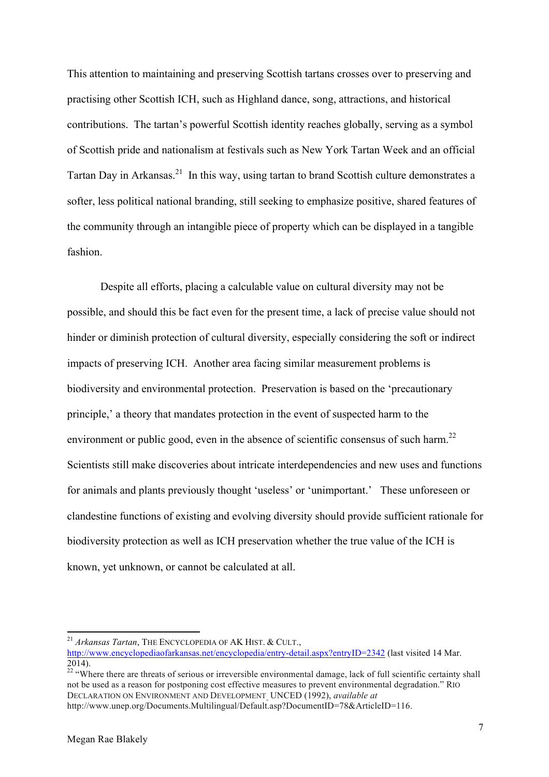This attention to maintaining and preserving Scottish tartans crosses over to preserving and practising other Scottish ICH, such as Highland dance, song, attractions, and historical contributions. The tartan's powerful Scottish identity reaches globally, serving as a symbol of Scottish pride and nationalism at festivals such as New York Tartan Week and an official Tartan Day in Arkansas.<sup>21</sup> In this way, using tartan to brand Scottish culture demonstrates a softer, less political national branding, still seeking to emphasize positive, shared features of the community through an intangible piece of property which can be displayed in a tangible fashion.

Despite all efforts, placing a calculable value on cultural diversity may not be possible, and should this be fact even for the present time, a lack of precise value should not hinder or diminish protection of cultural diversity, especially considering the soft or indirect impacts of preserving ICH. Another area facing similar measurement problems is biodiversity and environmental protection. Preservation is based on the 'precautionary principle,' a theory that mandates protection in the event of suspected harm to the environment or public good, even in the absence of scientific consensus of such harm.<sup>22</sup> Scientists still make discoveries about intricate interdependencies and new uses and functions for animals and plants previously thought 'useless' or 'unimportant.' These unforeseen or clandestine functions of existing and evolving diversity should provide sufficient rationale for biodiversity protection as well as ICH preservation whether the true value of the ICH is known, yet unknown, or cannot be calculated at all.

<sup>22</sup> "Where there are threats of serious or irreversible environmental damage, lack of full scientific certainty shall not be used as a reason for postponing cost effective measures to prevent environmental degradation." RIO DECLARATION ON ENVIRONMENT AND DEVELOPMENT UNCED (1992), *available at*

<sup>21</sup> *Arkansas Tartan*, THE ENCYCLOPEDIA OF AK HIST. & CULT.,

http://www.encyclopediaofarkansas.net/encyclopedia/entry-detail.aspx?entryID=2342 (last visited 14 Mar.  $2014$ ).

http://www.unep.org/Documents.Multilingual/Default.asp?DocumentID=78&ArticleID=116.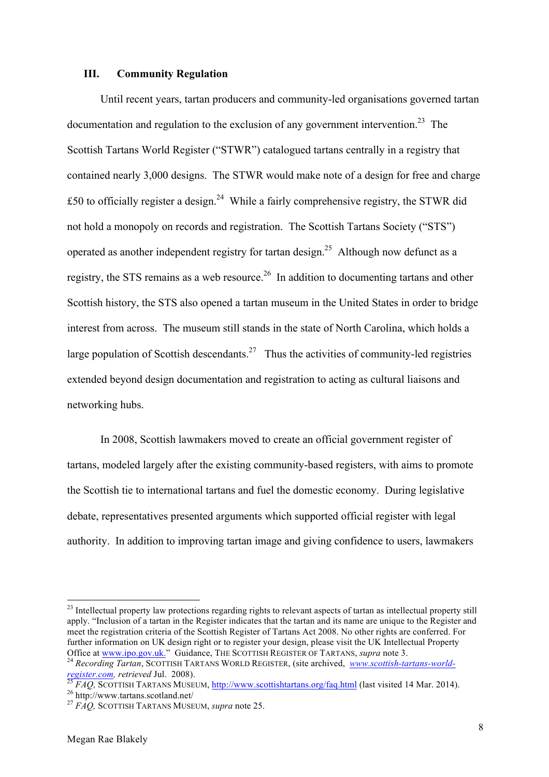#### **III. Community Regulation**

Until recent years, tartan producers and community-led organisations governed tartan documentation and regulation to the exclusion of any government intervention.<sup>23</sup> The Scottish Tartans World Register ("STWR") catalogued tartans centrally in a registry that contained nearly 3,000 designs. The STWR would make note of a design for free and charge £50 to officially register a design.<sup>24</sup> While a fairly comprehensive registry, the STWR did not hold a monopoly on records and registration. The Scottish Tartans Society ("STS") operated as another independent registry for tartan design.<sup>25</sup> Although now defunct as a registry, the STS remains as a web resource.<sup>26</sup> In addition to documenting tartans and other Scottish history, the STS also opened a tartan museum in the United States in order to bridge interest from across. The museum still stands in the state of North Carolina, which holds a large population of Scottish descendants.<sup>27</sup> Thus the activities of community-led registries extended beyond design documentation and registration to acting as cultural liaisons and networking hubs.

In 2008, Scottish lawmakers moved to create an official government register of tartans, modeled largely after the existing community-based registers, with aims to promote the Scottish tie to international tartans and fuel the domestic economy. During legislative debate, representatives presented arguments which supported official register with legal authority. In addition to improving tartan image and giving confidence to users, lawmakers

 $23$  Intellectual property law protections regarding rights to relevant aspects of tartan as intellectual property still apply. "Inclusion of a tartan in the Register indicates that the tartan and its name are unique to the Register and meet the registration criteria of the Scottish Register of Tartans Act 2008. No other rights are conferred. For further information on UK design right or to register your design, please visit the UK Intellectual Property Office at www.ipo.gov.uk." Guidance, THE SCOTTISH REGISTER OF TARTANS, supra note 3.

<sup>&</sup>lt;sup>24</sup> Recording Tartan, SCOTTISH TARTANS WORLD REGISTER, (site archived, *www.scottish-tartans-world*register.com, retrieved Jul. 2008).<br>
<sup>25</sup> FAQ, SCOTTISH TARTANS MUSEUM, <u>http://www.scottishtartans.org/faq.html</u> (last visited 14 Mar. 2014).<br>
<sup>26</sup> http://www.tartans.scotland.net/<br>
<sup>27</sup> FAQ, SCOTTISH TARTANS MUSEUM, *sup*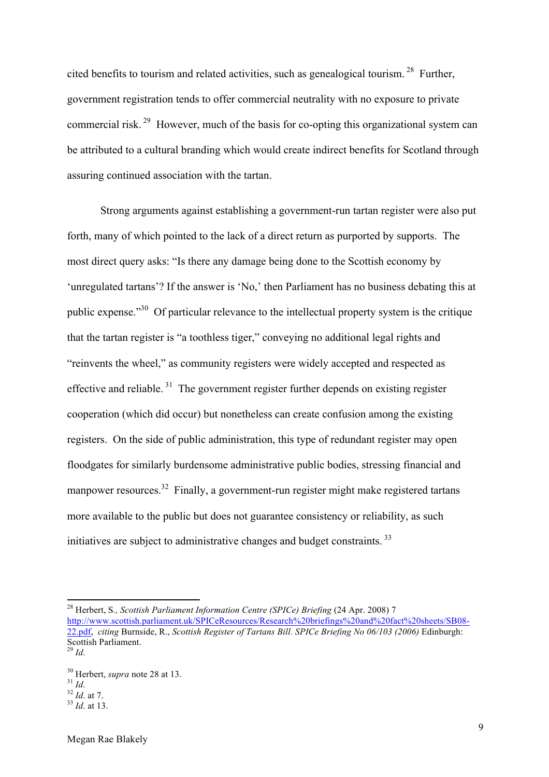cited benefits to tourism and related activities, such as genealogical tourism.  $28$  Further, government registration tends to offer commercial neutrality with no exposure to private commercial risk. 29 However, much of the basis for co-opting this organizational system can be attributed to a cultural branding which would create indirect benefits for Scotland through assuring continued association with the tartan.

Strong arguments against establishing a government-run tartan register were also put forth, many of which pointed to the lack of a direct return as purported by supports. The most direct query asks: "Is there any damage being done to the Scottish economy by 'unregulated tartans'? If the answer is 'No,' then Parliament has no business debating this at public expense."30 Of particular relevance to the intellectual property system is the critique that the tartan register is "a toothless tiger," conveying no additional legal rights and "reinvents the wheel," as community registers were widely accepted and respected as effective and reliable.<sup>31</sup> The government register further depends on existing register cooperation (which did occur) but nonetheless can create confusion among the existing registers. On the side of public administration, this type of redundant register may open floodgates for similarly burdensome administrative public bodies, stressing financial and manpower resources.<sup>32</sup> Finally, a government-run register might make registered tartans more available to the public but does not guarantee consistency or reliability, as such initiatives are subject to administrative changes and budget constraints.<sup>33</sup>

<sup>28</sup> Herbert, S*., Scottish Parliament Information Centre (SPICe) Briefing* (24 Apr. 2008) 7 http://www.scottish.parliament.uk/SPICeResources/Research%20briefings%20and%20fact%20sheets/SB08- 22.pdf, *citing* Burnside, R., *Scottish Register of Tartans Bill. SPICe Briefing No 06/103 (2006)* Edinburgh: Scottish Parliament. <sup>29</sup> *Id*.

<sup>30</sup> Herbert, *supra* note 28 at 13. <sup>31</sup> *Id*. <sup>32</sup> *Id*. at 7. <sup>33</sup> *Id*. at 13.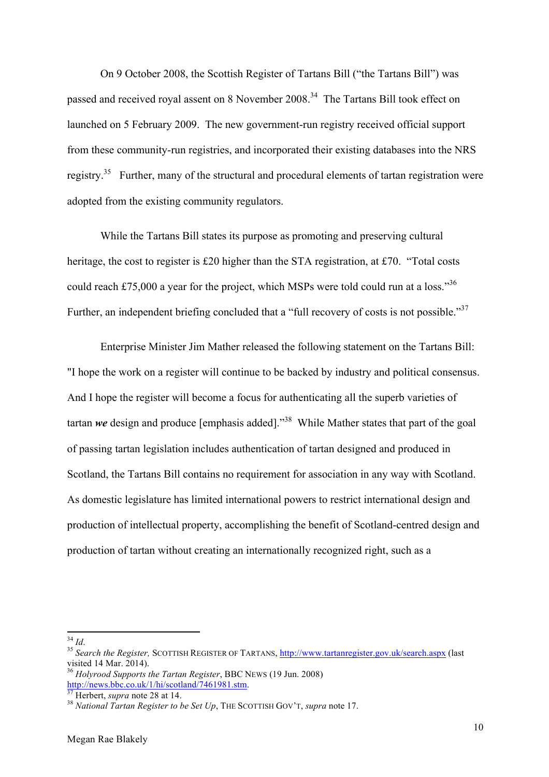On 9 October 2008, the Scottish Register of Tartans Bill ("the Tartans Bill") was passed and received royal assent on 8 November 2008.<sup>34</sup> The Tartans Bill took effect on launched on 5 February 2009. The new government-run registry received official support from these community-run registries, and incorporated their existing databases into the NRS registry.<sup>35</sup> Further, many of the structural and procedural elements of tartan registration were adopted from the existing community regulators.

While the Tartans Bill states its purpose as promoting and preserving cultural heritage, the cost to register is £20 higher than the STA registration, at £70. "Total costs could reach £75,000 a year for the project, which MSPs were told could run at a loss."<sup>36</sup> Further, an independent briefing concluded that a "full recovery of costs is not possible."<sup>37</sup>

Enterprise Minister Jim Mather released the following statement on the Tartans Bill: "I hope the work on a register will continue to be backed by industry and political consensus. And I hope the register will become a focus for authenticating all the superb varieties of tartan *we* design and produce [emphasis added]."38 While Mather states that part of the goal of passing tartan legislation includes authentication of tartan designed and produced in Scotland, the Tartans Bill contains no requirement for association in any way with Scotland. As domestic legislature has limited international powers to restrict international design and production of intellectual property, accomplishing the benefit of Scotland-centred design and production of tartan without creating an internationally recognized right, such as a

<sup>&</sup>lt;sup>34</sup> *Id.* 35 *Search the Register*, SCOTTISH REGISTER OF TARTANS, **http://www.tartanregister.gov.uk/search.aspx** (last visited 14 Mar. 2014).

<sup>&</sup>lt;sup>36</sup> *Holyrood Supports the Tartan Register*, BBC NEWS (19 Jun. 2008) http://news.bbc.co.uk/1/hi/scotland/7461981.stm.

<sup>&</sup>lt;sup>37</sup> Herbert, *supra* note 28 at 14.<br><sup>38</sup> *National Tartan Register to be Set Up*, THE SCOTTISH GOV'T, *supra* note 17.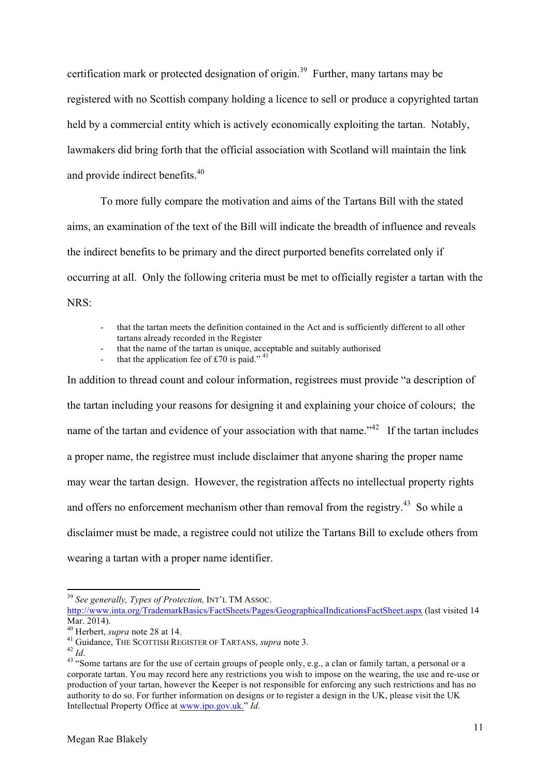certification mark or protected designation of origin.<sup>39</sup> Further, many tartans may be registered with no Scottish company holding a licence to sell or produce a copyrighted tartan held by a commercial entity which is actively economically exploiting the tartan. Notably, lawmakers did bring forth that the official association with Scotland will maintain the link and provide indirect benefits.<sup>40</sup>

To more fully compare the motivation and aims of the Tartans Bill with the stated aims, an examination of the text of the Bill will indicate the breadth of influence and reveals the indirect benefits to be primary and the direct purported benefits correlated only if occurring at all. Only the following criteria must be met to officially register a tartan with the NRS:

- that the tartan meets the definition contained in the Act and is sufficiently different to all other tartans already recorded in the Register
- that the name of the tartan is unique, acceptable and suitably authorised

that the application fee of £70 is paid."  $41$ 

In addition to thread count and colour information, registrees must provide "a description of the tartan including your reasons for designing it and explaining your choice of colours; the name of the tartan and evidence of your association with that name."<sup>42</sup> If the tartan includes a proper name, the registree must include disclaimer that anyone sharing the proper name may wear the tartan design. However, the registration affects no intellectual property rights and offers no enforcement mechanism other than removal from the registry.<sup>43</sup> So while a disclaimer must be made, a registree could not utilize the Tartans Bill to exclude others from wearing a tartan with a proper name identifier.

<sup>39</sup> *See generally, Types of Protection,* INT'L TM ASSOC.

http://www.inta.org/TrademarkBasics/FactSheets/Pages/GeographicalIndicationsFactSheet.aspx (last visited 14 Mar. 2014).<br><sup>40</sup> Herbert. *supra* note 28 at 14.

<sup>&</sup>lt;sup>41</sup> Guidance, THE SCOTTISH REGISTER OF TARTANS, *supra* note 3.<br><sup>42</sup> Id.<br><sup>43</sup> "Some tartans are for the use of certain groups of people only, e.g., a clan or family tartan, a personal or a corporate tartan. You may record here any restrictions you wish to impose on the wearing, the use and re-use or production of your tartan, however the Keeper is not responsible for enforcing any such restrictions and has no authority to do so. For further information on designs or to register a design in the UK, please visit the UK Intellectual Property Office at www.ipo.gov.uk." *Id*.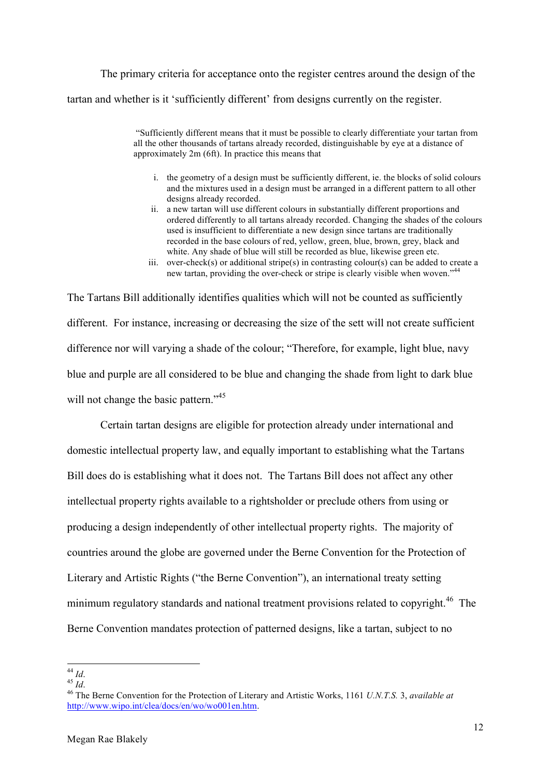The primary criteria for acceptance onto the register centres around the design of the tartan and whether is it 'sufficiently different' from designs currently on the register.

> "Sufficiently different means that it must be possible to clearly differentiate your tartan from all the other thousands of tartans already recorded, distinguishable by eye at a distance of approximately 2m (6ft). In practice this means that

- i. the geometry of a design must be sufficiently different, ie. the blocks of solid colours and the mixtures used in a design must be arranged in a different pattern to all other designs already recorded.
- ii. a new tartan will use different colours in substantially different proportions and ordered differently to all tartans already recorded. Changing the shades of the colours used is insufficient to differentiate a new design since tartans are traditionally recorded in the base colours of red, yellow, green, blue, brown, grey, black and white. Any shade of blue will still be recorded as blue, likewise green etc.
- iii. over-check(s) or additional stripe(s) in contrasting colour(s) can be added to create a new tartan, providing the over-check or stripe is clearly visible when woven."<sup>44</sup>

The Tartans Bill additionally identifies qualities which will not be counted as sufficiently different. For instance, increasing or decreasing the size of the sett will not create sufficient difference nor will varying a shade of the colour; "Therefore, for example, light blue, navy blue and purple are all considered to be blue and changing the shade from light to dark blue will not change the basic pattern."<sup>45</sup>

Certain tartan designs are eligible for protection already under international and domestic intellectual property law, and equally important to establishing what the Tartans Bill does do is establishing what it does not. The Tartans Bill does not affect any other intellectual property rights available to a rightsholder or preclude others from using or producing a design independently of other intellectual property rights. The majority of countries around the globe are governed under the Berne Convention for the Protection of Literary and Artistic Rights ("the Berne Convention"), an international treaty setting minimum regulatory standards and national treatment provisions related to copyright.<sup>46</sup> The Berne Convention mandates protection of patterned designs, like a tartan, subject to no

<sup>44</sup> *Id*. <sup>45</sup> *Id*. <sup>46</sup> The Berne Convention for the Protection of Literary and Artistic Works, 1161 *U.N.T.S.* 3, *available at*  http://www.wipo.int/clea/docs/en/wo/wo001en.htm.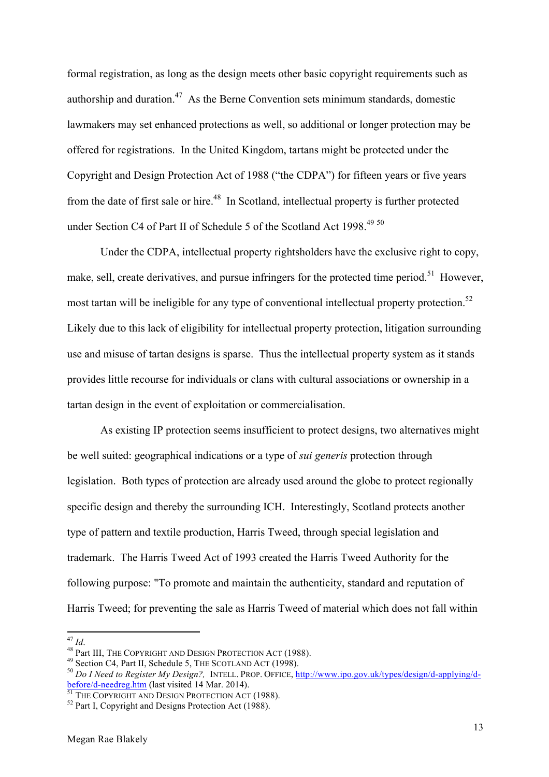formal registration, as long as the design meets other basic copyright requirements such as authorship and duration.<sup>47</sup> As the Berne Convention sets minimum standards, domestic lawmakers may set enhanced protections as well, so additional or longer protection may be offered for registrations. In the United Kingdom, tartans might be protected under the Copyright and Design Protection Act of 1988 ("the CDPA") for fifteen years or five years from the date of first sale or hire.<sup>48</sup> In Scotland, intellectual property is further protected under Section C4 of Part II of Schedule 5 of the Scotland Act 1998.<sup>49 50</sup>

Under the CDPA, intellectual property rightsholders have the exclusive right to copy, make, sell, create derivatives, and pursue infringers for the protected time period.<sup>51</sup> However, most tartan will be ineligible for any type of conventional intellectual property protection.<sup>52</sup> Likely due to this lack of eligibility for intellectual property protection, litigation surrounding use and misuse of tartan designs is sparse. Thus the intellectual property system as it stands provides little recourse for individuals or clans with cultural associations or ownership in a tartan design in the event of exploitation or commercialisation.

As existing IP protection seems insufficient to protect designs, two alternatives might be well suited: geographical indications or a type of *sui generis* protection through legislation. Both types of protection are already used around the globe to protect regionally specific design and thereby the surrounding ICH. Interestingly, Scotland protects another type of pattern and textile production, Harris Tweed, through special legislation and trademark. The Harris Tweed Act of 1993 created the Harris Tweed Authority for the following purpose: "To promote and maintain the authenticity, standard and reputation of Harris Tweed; for preventing the sale as Harris Tweed of material which does not fall within

<sup>&</sup>lt;sup>47</sup> *Id.*<br><sup>48</sup> Part III, THE COPYRIGHT AND DESIGN PROTECTION ACT (1988).<br><sup>49</sup> Section C4, Part II, Schedule 5, THE SCOTLAND ACT (1998).<br><sup>50</sup> Do *I Need to Register My Design?*, INTELL. PROP. OFFICE, http://www.ipo.gov.uk before/d-needreg.htm (last visited 14 Mar. 2014).<br><sup>51</sup> THE COPYRIGHT AND DESIGN PROTECTION ACT (1988).<br><sup>52</sup> Part I, Copyright and Designs Protection Act (1988).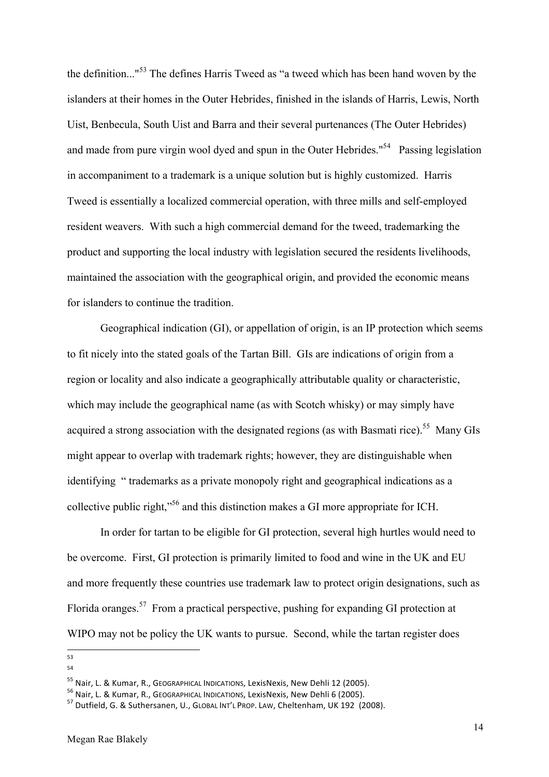the definition..."<sup>53</sup> The defines Harris Tweed as "a tweed which has been hand woven by the islanders at their homes in the Outer Hebrides, finished in the islands of Harris, Lewis, North Uist, Benbecula, South Uist and Barra and their several purtenances (The Outer Hebrides) and made from pure virgin wool dyed and spun in the Outer Hebrides."54 Passing legislation in accompaniment to a trademark is a unique solution but is highly customized. Harris Tweed is essentially a localized commercial operation, with three mills and self-employed resident weavers. With such a high commercial demand for the tweed, trademarking the product and supporting the local industry with legislation secured the residents livelihoods, maintained the association with the geographical origin, and provided the economic means for islanders to continue the tradition.

Geographical indication (GI), or appellation of origin, is an IP protection which seems to fit nicely into the stated goals of the Tartan Bill. GIs are indications of origin from a region or locality and also indicate a geographically attributable quality or characteristic, which may include the geographical name (as with Scotch whisky) or may simply have acquired a strong association with the designated regions (as with Basmati rice).<sup>55</sup> Many GIs might appear to overlap with trademark rights; however, they are distinguishable when identifying " trademarks as a private monopoly right and geographical indications as a collective public right,"<sup>56</sup> and this distinction makes a GI more appropriate for ICH.

In order for tartan to be eligible for GI protection, several high hurtles would need to be overcome. First, GI protection is primarily limited to food and wine in the UK and EU and more frequently these countries use trademark law to protect origin designations, such as Florida oranges.<sup>57</sup> From a practical perspective, pushing for expanding GI protection at WIPO may not be policy the UK wants to pursue. Second, while the tartan register does

<sup>&</sup>lt;u> 1989 - Johann Stein, fransk politiker (d. 1989)</u> 53

<sup>54</sup>

<sup>&</sup>lt;sup>55</sup> Nair, L. & Kumar, R., GEOGRAPHICAL INDICATIONS, LexisNexis, New Dehli 12 (2005).<br><sup>56</sup> Nair, L. & Kumar, R., GEOGRAPHICAL INDICATIONS, LexisNexis, New Dehli 6 (2005).<br><sup>57</sup> Dutfield. G. & Suthersanen. U., GLOBAL INT'L P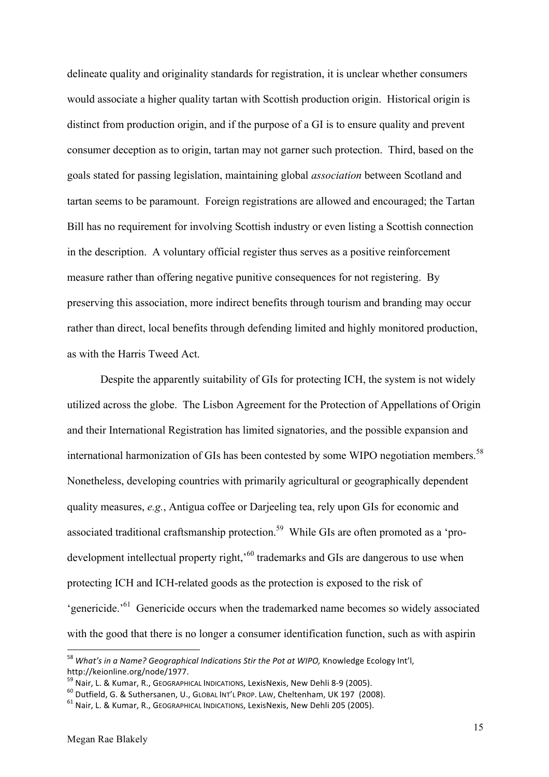delineate quality and originality standards for registration, it is unclear whether consumers would associate a higher quality tartan with Scottish production origin. Historical origin is distinct from production origin, and if the purpose of a GI is to ensure quality and prevent consumer deception as to origin, tartan may not garner such protection. Third, based on the goals stated for passing legislation, maintaining global *association* between Scotland and tartan seems to be paramount. Foreign registrations are allowed and encouraged; the Tartan Bill has no requirement for involving Scottish industry or even listing a Scottish connection in the description. A voluntary official register thus serves as a positive reinforcement measure rather than offering negative punitive consequences for not registering. By preserving this association, more indirect benefits through tourism and branding may occur rather than direct, local benefits through defending limited and highly monitored production, as with the Harris Tweed Act.

Despite the apparently suitability of GIs for protecting ICH, the system is not widely utilized across the globe. The Lisbon Agreement for the Protection of Appellations of Origin and their International Registration has limited signatories, and the possible expansion and international harmonization of GIs has been contested by some WIPO negotiation members. 58 Nonetheless, developing countries with primarily agricultural or geographically dependent quality measures, *e.g.*, Antigua coffee or Darjeeling tea, rely upon GIs for economic and associated traditional craftsmanship protection.<sup>59</sup> While GIs are often promoted as a 'prodevelopment intellectual property right,<sup>60</sup> trademarks and GIs are dangerous to use when protecting ICH and ICH-related goods as the protection is exposed to the risk of 'genericide.'61 Genericide occurs when the trademarked name becomes so widely associated with the good that there is no longer a consumer identification function, such as with aspirin

<sup>&</sup>lt;sup>58</sup> What's in a Name? Geoaraphical Indications Stir the Pot at WIPO, Knowledge Ecology Int'l, http://keionline.org/node/1977.<br><sup>59</sup> Nair, L. & Kumar, R., GEOGRAPHICAL INDICATIONS, LexisNexis, New Dehli 8-9 (2005).<br><sup>60</sup> Dutfield, G. & Suthersanen, U., GLOBAL INT'L PROP. LAW, Cheltenham, UK 197 (2008).<br><sup>61</sup> Nair. L. &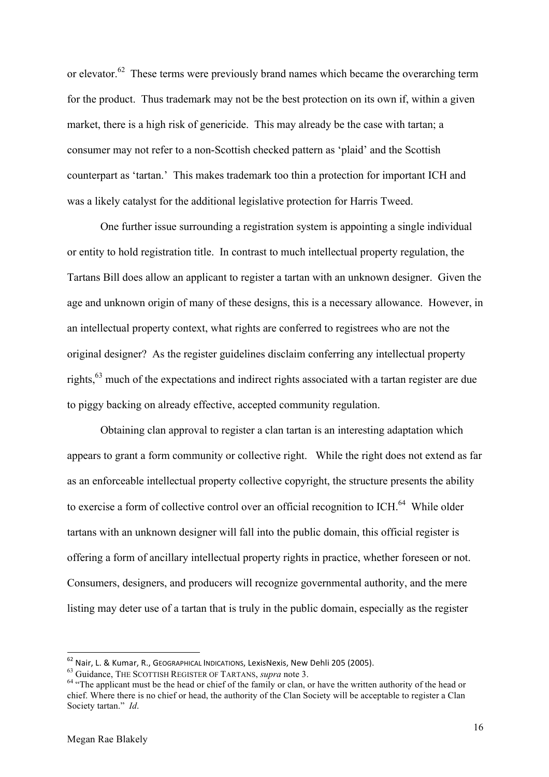or elevator.<sup>62</sup> These terms were previously brand names which became the overarching term for the product. Thus trademark may not be the best protection on its own if, within a given market, there is a high risk of genericide. This may already be the case with tartan; a consumer may not refer to a non-Scottish checked pattern as 'plaid' and the Scottish counterpart as 'tartan.' This makes trademark too thin a protection for important ICH and was a likely catalyst for the additional legislative protection for Harris Tweed.

One further issue surrounding a registration system is appointing a single individual or entity to hold registration title. In contrast to much intellectual property regulation, the Tartans Bill does allow an applicant to register a tartan with an unknown designer. Given the age and unknown origin of many of these designs, this is a necessary allowance. However, in an intellectual property context, what rights are conferred to registrees who are not the original designer? As the register guidelines disclaim conferring any intellectual property rights,<sup>63</sup> much of the expectations and indirect rights associated with a tartan register are due to piggy backing on already effective, accepted community regulation.

Obtaining clan approval to register a clan tartan is an interesting adaptation which appears to grant a form community or collective right. While the right does not extend as far as an enforceable intellectual property collective copyright, the structure presents the ability to exercise a form of collective control over an official recognition to ICH.<sup>64</sup> While older tartans with an unknown designer will fall into the public domain, this official register is offering a form of ancillary intellectual property rights in practice, whether foreseen or not. Consumers, designers, and producers will recognize governmental authority, and the mere listing may deter use of a tartan that is truly in the public domain, especially as the register

 $62$  Nair, L. & Kumar, R., GEOGRAPHICAL INDICATIONS, LexisNexis, New Dehli 205 (2005).<br> $63$  Guidance, THE SCOTTISH REGISTER OF TARTANS, *supra* note 3.

<sup>&</sup>lt;sup>64</sup> "The applicant must be the head or chief of the family or clan, or have the written authority of the head or chief. Where there is no chief or head, the authority of the Clan Society will be acceptable to register a Clan Society tartan." *Id*.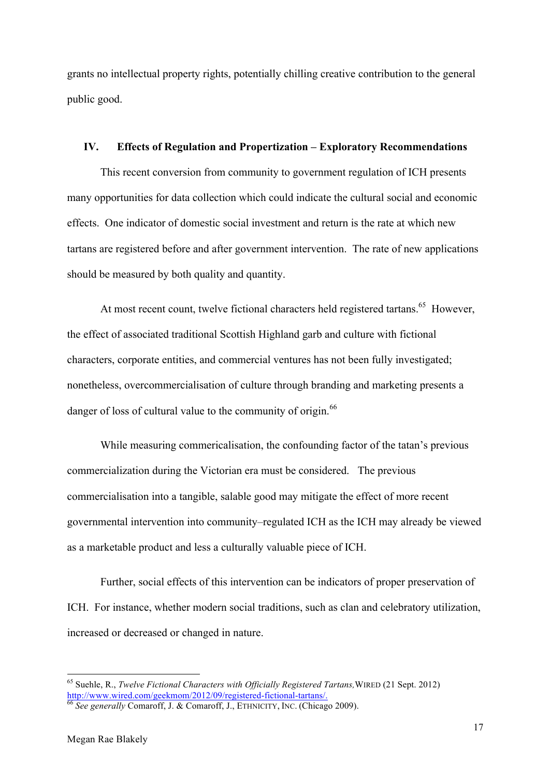grants no intellectual property rights, potentially chilling creative contribution to the general public good.

#### **IV. Effects of Regulation and Propertization – Exploratory Recommendations**

This recent conversion from community to government regulation of ICH presents many opportunities for data collection which could indicate the cultural social and economic effects. One indicator of domestic social investment and return is the rate at which new tartans are registered before and after government intervention. The rate of new applications should be measured by both quality and quantity.

At most recent count, twelve fictional characters held registered tartans.<sup>65</sup> However, the effect of associated traditional Scottish Highland garb and culture with fictional characters, corporate entities, and commercial ventures has not been fully investigated; nonetheless, overcommercialisation of culture through branding and marketing presents a danger of loss of cultural value to the community of origin.<sup>66</sup>

While measuring commericalisation, the confounding factor of the tatan's previous commercialization during the Victorian era must be considered. The previous commercialisation into a tangible, salable good may mitigate the effect of more recent governmental intervention into community–regulated ICH as the ICH may already be viewed as a marketable product and less a culturally valuable piece of ICH.

Further, social effects of this intervention can be indicators of proper preservation of ICH. For instance, whether modern social traditions, such as clan and celebratory utilization, increased or decreased or changed in nature.

<sup>&</sup>lt;sup>65</sup> Suehle, R., *Twelve Fictional Characters with Officially Registered Tartans*, WIRED (21 Sept. 2012) http://www.wired.com/geekmom/2012/09/registered-fictional-tartans/.

<sup>&</sup>lt;sup>66</sup> See generally Comaroff, J. & Comaroff, J., ETHNICITY, INC. (Chicago 2009).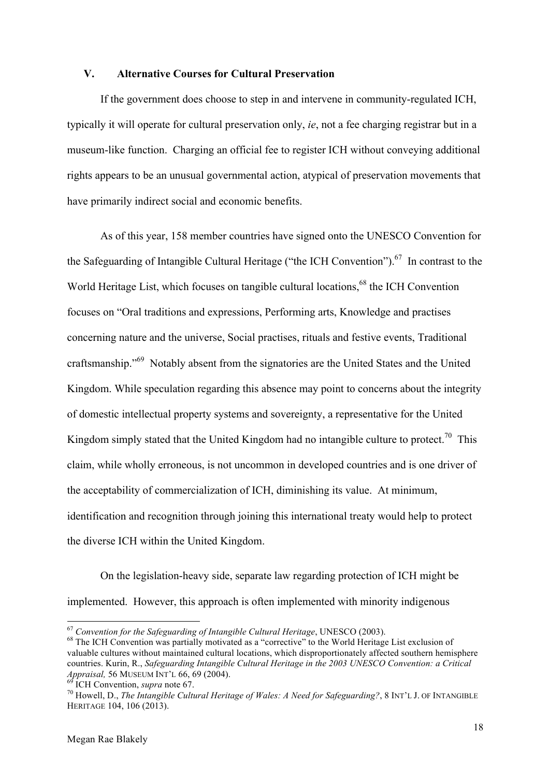### **V. Alternative Courses for Cultural Preservation**

If the government does choose to step in and intervene in community-regulated ICH, typically it will operate for cultural preservation only, *ie*, not a fee charging registrar but in a museum-like function. Charging an official fee to register ICH without conveying additional rights appears to be an unusual governmental action, atypical of preservation movements that have primarily indirect social and economic benefits.

As of this year, 158 member countries have signed onto the UNESCO Convention for the Safeguarding of Intangible Cultural Heritage ("the ICH Convention").<sup>67</sup> In contrast to the World Heritage List, which focuses on tangible cultural locations,<sup>68</sup> the ICH Convention focuses on "Oral traditions and expressions, Performing arts, Knowledge and practises concerning nature and the universe, Social practises, rituals and festive events, Traditional craftsmanship."69 Notably absent from the signatories are the United States and the United Kingdom. While speculation regarding this absence may point to concerns about the integrity of domestic intellectual property systems and sovereignty, a representative for the United Kingdom simply stated that the United Kingdom had no intangible culture to protect.<sup>70</sup> This claim, while wholly erroneous, is not uncommon in developed countries and is one driver of the acceptability of commercialization of ICH, diminishing its value. At minimum, identification and recognition through joining this international treaty would help to protect the diverse ICH within the United Kingdom.

On the legislation-heavy side, separate law regarding protection of ICH might be implemented. However, this approach is often implemented with minority indigenous

<u> 1989 - Jan Samuel Barbara, margaret e</u>

<sup>&</sup>lt;sup>67</sup> Convention for the Safeguarding of Intangible Cultural Heritage, UNESCO (2003).<br><sup>68</sup> The ICH Convention was partially motivated as a "corrective" to the World Heritage List exclusion of

valuable cultures without maintained cultural locations, which disproportionately affected southern hemisphere countries. Kurin, R., *Safeguarding Intangible Cultural Heritage in the 2003 UNESCO Convention: a Critical Appraisal, 56 MUSEUM INT'L 66, 69 (2004).*<br><sup>69</sup> ICH Convention, *supra* note 67.<br><sup>70</sup> Howell, D., *The Intangible Cultural Heritage of Wales: A Need for Safeguarding?*, 8 INT'L J. OF INTANGIBLE

HERITAGE 104, 106 (2013).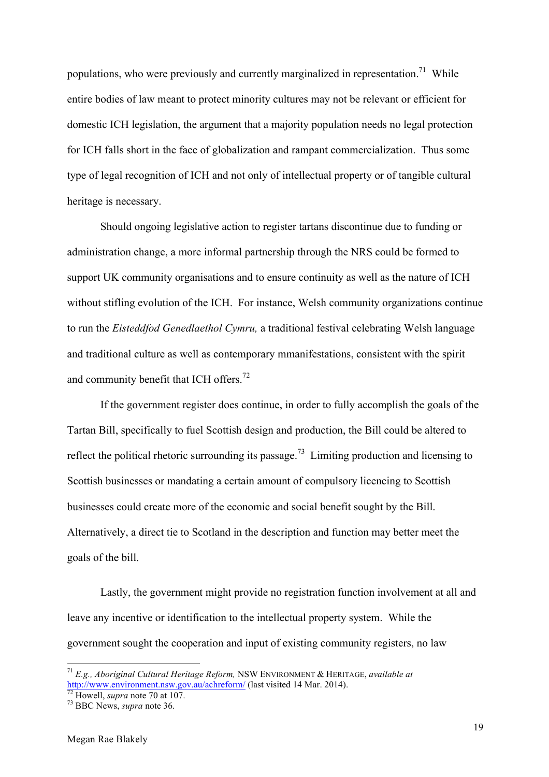populations, who were previously and currently marginalized in representation.<sup>71</sup> While entire bodies of law meant to protect minority cultures may not be relevant or efficient for domestic ICH legislation, the argument that a majority population needs no legal protection for ICH falls short in the face of globalization and rampant commercialization. Thus some type of legal recognition of ICH and not only of intellectual property or of tangible cultural heritage is necessary.

Should ongoing legislative action to register tartans discontinue due to funding or administration change, a more informal partnership through the NRS could be formed to support UK community organisations and to ensure continuity as well as the nature of ICH without stifling evolution of the ICH. For instance, Welsh community organizations continue to run the *Eisteddfod Genedlaethol Cymru,* a traditional festival celebrating Welsh language and traditional culture as well as contemporary mmanifestations, consistent with the spirit and community benefit that ICH offers.<sup>72</sup>

If the government register does continue, in order to fully accomplish the goals of the Tartan Bill, specifically to fuel Scottish design and production, the Bill could be altered to reflect the political rhetoric surrounding its passage.<sup>73</sup> Limiting production and licensing to Scottish businesses or mandating a certain amount of compulsory licencing to Scottish businesses could create more of the economic and social benefit sought by the Bill. Alternatively, a direct tie to Scotland in the description and function may better meet the goals of the bill.

Lastly, the government might provide no registration function involvement at all and leave any incentive or identification to the intellectual property system. While the government sought the cooperation and input of existing community registers, no law

 

<sup>71</sup> *E.g., Aboriginal Cultural Heritage Reform,* NSW ENVIRONMENT & HERITAGE, *available at*  http://www.environment.nsw.gov.au/achreform/ (last visited 14 Mar. 2014). <sup>72</sup> Howell, *supra* note 70 at 107. <sup>73</sup> BBC News, *supra* note 36.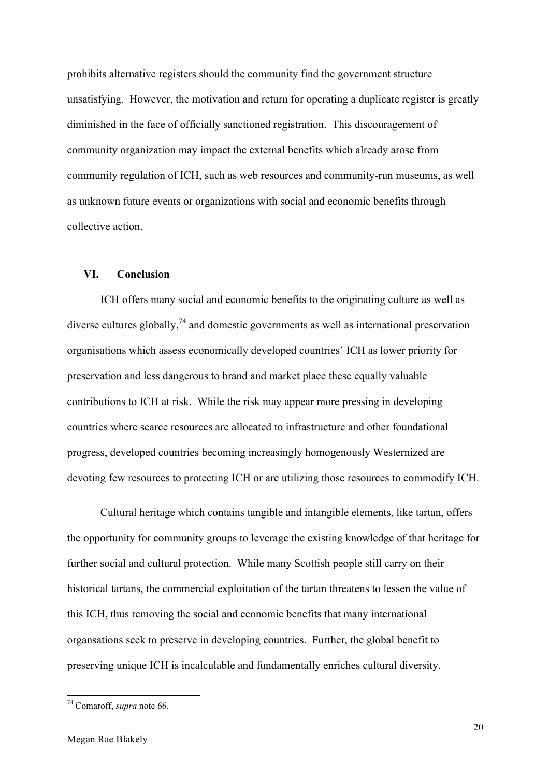prohibits alternative registers should the community find the government structure unsatisfying. However, the motivation and return for operating a duplicate register is greatly diminished in the face of officially sanctioned registration. This discouragement of community organization may impact the external benefits which already arose from community regulation of ICH, such as web resources and community-run museums, as well as unknown future events or organizations with social and economic benefits through collective action.

#### **VI. Conclusion**

ICH offers many social and economic benefits to the originating culture as well as diverse cultures globally,  $^{74}$  and domestic governments as well as international preservation organisations which assess economically developed countries' ICH as lower priority for preservation and less dangerous to brand and market place these equally valuable contributions to ICH at risk. While the risk may appear more pressing in developing countries where scarce resources are allocated to infrastructure and other foundational progress, developed countries becoming increasingly homogenously Westernized are devoting few resources to protecting ICH or are utilizing those resources to commodify ICH.

Cultural heritage which contains tangible and intangible elements, like tartan, offers the opportunity for community groups to leverage the existing knowledge of that heritage for further social and cultural protection. While many Scottish people still carry on their historical tartans, the commercial exploitation of the tartan threatens to lessen the value of this ICH, thus removing the social and economic benefits that many international organsations seek to preserve in developing countries. Further, the global benefit to preserving unique ICH is incalculable and fundamentally enriches cultural diversity.

<u> 1989 - Jan Samuel Barbara, margaret e</u>

<sup>74</sup> Comaroff, *supra* note 66.